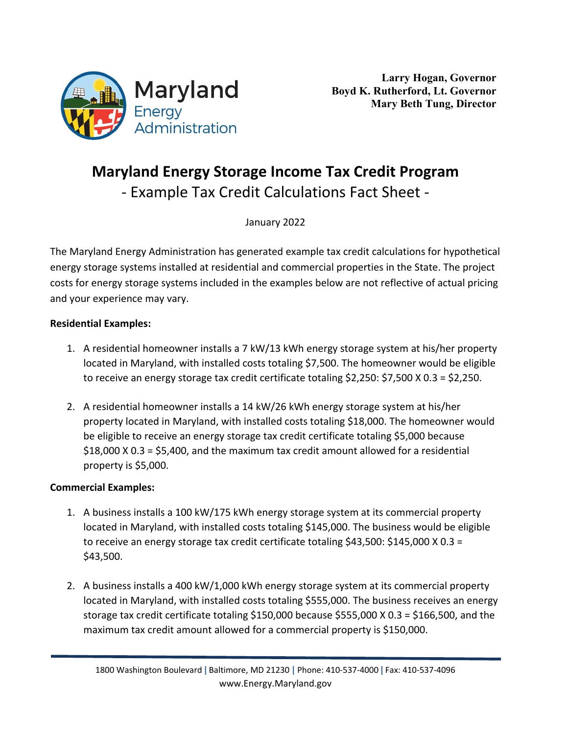

## **Maryland Energy Storage Income Tax Credit Program** - Example Tax Credit Calculations Fact Sheet -

January 2022

The Maryland Energy Administration has generated example tax credit calculations for hypothetical energy storage systems installed at residential and commercial properties in the State. The project costs for energy storage systems included in the examples below are not reflective of actual pricing and your experience may vary.

## **Residential Examples:**

- 1. A residential homeowner installs a 7 kW/13 kWh energy storage system at his/her property located in Maryland, with installed costs totaling \$7,500. The homeowner would be eligible to receive an energy storage tax credit certificate totaling \$2,250: \$7,500 X 0.3 = \$2,250.
- 2. A residential homeowner installs a 14 kW/26 kWh energy storage system at his/her property located in Maryland, with installed costs totaling \$18,000. The homeowner would be eligible to receive an energy storage tax credit certificate totaling \$5,000 because \$18,000 X 0.3 = \$5,400, and the maximum tax credit amount allowed for a residential property is \$5,000.

## **Commercial Examples:**

- 1. A business installs a 100 kW/175 kWh energy storage system at its commercial property located in Maryland, with installed costs totaling \$145,000. The business would be eligible to receive an energy storage tax credit certificate totaling \$43,500: \$145,000 X 0.3 = \$43,500.
- 2. A business installs a 400 kW/1,000 kWh energy storage system at its commercial property located in Maryland, with installed costs totaling \$555,000. The business receives an energy storage tax credit certificate totaling \$150,000 because \$555,000 X 0.3 = \$166,500, and the maximum tax credit amount allowed for a commercial property is \$150,000.